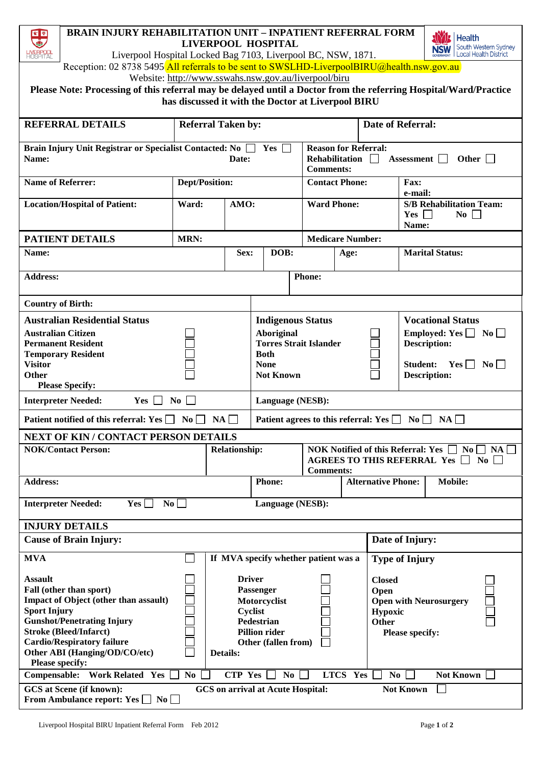| <b>BRAIN INJURY REHABILITATION UNIT - INPATIENT REFERRAL FORM</b><br>家童<br><b>Health</b><br>۸<br><b>LIVERPOOL HOSPITAL</b><br>South Western Sydney<br><b>NSW</b><br><b>IVERPOOL</b><br>HOSPITAL<br>Liverpool Hospital Locked Bag 7103, Liverpool BC, NSW, 1871.<br><b>Local Health District</b> |                                                                     |                      |                                                                                                 |                                                                                                      |                       |                         |                                                                                                        |                            |                        |  |
|-------------------------------------------------------------------------------------------------------------------------------------------------------------------------------------------------------------------------------------------------------------------------------------------------|---------------------------------------------------------------------|----------------------|-------------------------------------------------------------------------------------------------|------------------------------------------------------------------------------------------------------|-----------------------|-------------------------|--------------------------------------------------------------------------------------------------------|----------------------------|------------------------|--|
| Reception: 02 8738 5495 All referrals to be sent to SWSLHD-LiverpoolBIRU@health.nsw.gov.au                                                                                                                                                                                                      |                                                                     |                      |                                                                                                 |                                                                                                      |                       |                         |                                                                                                        |                            |                        |  |
| Website: http://www.sswahs.nsw.gov.au/liverpool/biru                                                                                                                                                                                                                                            |                                                                     |                      |                                                                                                 |                                                                                                      |                       |                         |                                                                                                        |                            |                        |  |
| Please Note: Processing of this referral may be delayed until a Doctor from the referring Hospital/Ward/Practice<br>has discussed it with the Doctor at Liverpool BIRU                                                                                                                          |                                                                     |                      |                                                                                                 |                                                                                                      |                       |                         |                                                                                                        |                            |                        |  |
| <b>REFERRAL DETAILS</b>                                                                                                                                                                                                                                                                         | <b>Referral Taken by:</b>                                           |                      |                                                                                                 |                                                                                                      |                       |                         | <b>Date of Referral:</b>                                                                               |                            |                        |  |
| Name:                                                                                                                                                                                                                                                                                           | Brain Injury Unit Registrar or Specialist Contacted: No<br>Date:    |                      |                                                                                                 | <b>Reason for Referral:</b><br>$Yes \Box$<br>Rehabilitation<br><b>Comments:</b>                      |                       |                         | $\perp$                                                                                                | Other $\Box$<br>Assessment |                        |  |
| <b>Name of Referrer:</b>                                                                                                                                                                                                                                                                        | <b>Dept/Position:</b>                                               |                      |                                                                                                 |                                                                                                      | <b>Contact Phone:</b> |                         | Fax:<br>e-mail:                                                                                        |                            |                        |  |
| <b>Location/Hospital of Patient:</b>                                                                                                                                                                                                                                                            | Ward:                                                               | AMO:                 |                                                                                                 | <b>Ward Phone:</b>                                                                                   |                       |                         | <b>S/B Rehabilitation Team:</b><br>$Yes \Box$<br>$\bf{No}$<br>Name:                                    |                            |                        |  |
| <b>PATIENT DETAILS</b>                                                                                                                                                                                                                                                                          | MRN:                                                                |                      |                                                                                                 |                                                                                                      |                       | <b>Medicare Number:</b> |                                                                                                        |                            |                        |  |
| Name:                                                                                                                                                                                                                                                                                           |                                                                     | Sex:                 |                                                                                                 | DOB:                                                                                                 |                       | Age:                    |                                                                                                        |                            | <b>Marital Status:</b> |  |
| <b>Address:</b>                                                                                                                                                                                                                                                                                 |                                                                     |                      |                                                                                                 |                                                                                                      | Phone:                |                         |                                                                                                        |                            |                        |  |
| <b>Country of Birth:</b>                                                                                                                                                                                                                                                                        |                                                                     |                      |                                                                                                 |                                                                                                      |                       |                         |                                                                                                        |                            |                        |  |
| <b>Australian Residential Status</b>                                                                                                                                                                                                                                                            |                                                                     |                      |                                                                                                 | <b>Indigenous Status</b>                                                                             |                       |                         | <b>Vocational Status</b>                                                                               |                            |                        |  |
| <b>Australian Citizen</b><br><b>Permanent Resident</b>                                                                                                                                                                                                                                          |                                                                     |                      |                                                                                                 | Aboriginal<br>Employed: Yes $\Box$ No $\Box$<br><b>Torres Strait Islander</b><br><b>Description:</b> |                       |                         |                                                                                                        |                            |                        |  |
| <b>Temporary Resident</b>                                                                                                                                                                                                                                                                       |                                                                     |                      |                                                                                                 | <b>Both</b>                                                                                          |                       |                         |                                                                                                        |                            |                        |  |
| <b>Visitor</b><br><b>Other</b>                                                                                                                                                                                                                                                                  |                                                                     |                      | <b>None</b><br>$Yes \Box No \Box$<br><b>Student:</b><br><b>Not Known</b><br><b>Description:</b> |                                                                                                      |                       |                         |                                                                                                        |                            |                        |  |
| <b>Please Specify:</b>                                                                                                                                                                                                                                                                          |                                                                     |                      |                                                                                                 |                                                                                                      |                       |                         |                                                                                                        |                            |                        |  |
| <b>Interpreter Needed:</b><br>$\overline{N_0}$<br>Yes  <br>$\blacksquare$                                                                                                                                                                                                                       |                                                                     |                      |                                                                                                 | Language (NESB):                                                                                     |                       |                         |                                                                                                        |                            |                        |  |
| Patient notified of this referral: Yes $\Box$ No $\Box$ NA<br>Patient agrees to this referral: Yes $\Box$ No $\Box$ NA                                                                                                                                                                          |                                                                     |                      |                                                                                                 |                                                                                                      |                       |                         |                                                                                                        |                            |                        |  |
| <b>NEXT OF KIN / CONTACT PERSON DETAILS</b>                                                                                                                                                                                                                                                     |                                                                     |                      |                                                                                                 |                                                                                                      |                       |                         |                                                                                                        |                            |                        |  |
| <b>NOK/Contact Person:</b>                                                                                                                                                                                                                                                                      |                                                                     | <b>Relationship:</b> | <b>Comments:</b>                                                                                |                                                                                                      |                       |                         | NOK Notified of this Referral: Yes $\Box$ No<br>NA.<br>AGREES TO THIS REFERRAL Yes $\Box$<br>$\bf{No}$ |                            |                        |  |
| <b>Address:</b>                                                                                                                                                                                                                                                                                 |                                                                     |                      | <b>Phone:</b>                                                                                   |                                                                                                      |                       |                         | <b>Alternative Phone:</b>                                                                              |                            | <b>Mobile:</b>         |  |
| <b>Interpreter Needed:</b><br>Yes<br>$\bf No$<br>Language (NESB):                                                                                                                                                                                                                               |                                                                     |                      |                                                                                                 |                                                                                                      |                       |                         |                                                                                                        |                            |                        |  |
| <b>INJURY DETAILS</b><br><b>Cause of Brain Injury:</b>                                                                                                                                                                                                                                          |                                                                     |                      |                                                                                                 |                                                                                                      |                       |                         |                                                                                                        |                            |                        |  |
|                                                                                                                                                                                                                                                                                                 |                                                                     |                      | If MVA specify whether patient was a                                                            |                                                                                                      |                       | Date of Injury:         |                                                                                                        |                            |                        |  |
| <b>MVA</b>                                                                                                                                                                                                                                                                                      |                                                                     |                      |                                                                                                 |                                                                                                      |                       |                         | <b>Type of Injury</b>                                                                                  |                            |                        |  |
| <b>Assault</b><br>Fall (other than sport)                                                                                                                                                                                                                                                       |                                                                     | <b>Driver</b>        | Passenger                                                                                       |                                                                                                      |                       | <b>Closed</b><br>Open   |                                                                                                        |                            |                        |  |
| Impact of Object (other than assault)                                                                                                                                                                                                                                                           |                                                                     |                      |                                                                                                 | Motorcyclist                                                                                         |                       |                         | <b>Open with Neurosurgery</b>                                                                          |                            |                        |  |
| <b>Sport Injury</b><br><b>Gunshot/Penetrating Injury</b>                                                                                                                                                                                                                                        |                                                                     |                      | Cyclist                                                                                         |                                                                                                      |                       |                         | Hypoxic<br><b>Other</b>                                                                                |                            |                        |  |
| <b>Stroke (Bleed/Infarct)</b>                                                                                                                                                                                                                                                                   | <b>Pedestrian</b><br><b>Pillion rider</b><br><b>Please specify:</b> |                      |                                                                                                 |                                                                                                      |                       |                         |                                                                                                        |                            |                        |  |
| <b>Cardio/Respiratory failure</b><br>Other (fallen from)<br>Other ABI (Hanging/OD/CO/etc)<br>Details:                                                                                                                                                                                           |                                                                     |                      |                                                                                                 |                                                                                                      |                       |                         |                                                                                                        |                            |                        |  |
| <b>Please specify:</b>                                                                                                                                                                                                                                                                          |                                                                     |                      |                                                                                                 |                                                                                                      |                       |                         |                                                                                                        |                            |                        |  |
| Compensable: Work Related Yes<br>LTCS Yes<br><b>Not Known</b><br>N <sub>0</sub><br><b>CTP Yes</b><br>$\bf{No}$<br>N <sub>0</sub><br>GCS at Scene (if known):<br><b>GCS</b> on arrival at Acute Hospital:<br><b>Not Known</b>                                                                    |                                                                     |                      |                                                                                                 |                                                                                                      |                       |                         |                                                                                                        |                            |                        |  |
| From Ambulance report: Yes $\Box$ No $\Box$                                                                                                                                                                                                                                                     |                                                                     |                      |                                                                                                 |                                                                                                      |                       |                         |                                                                                                        |                            |                        |  |